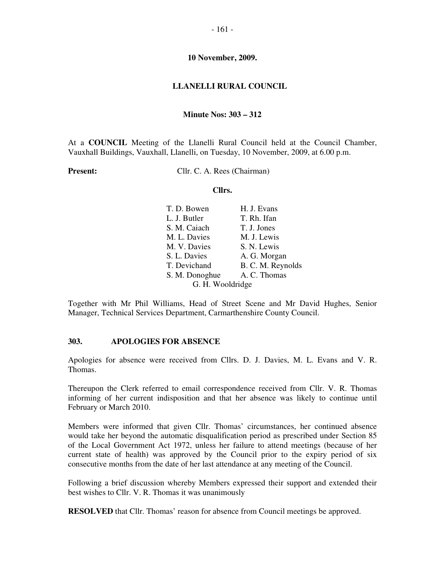#### **LLANELLI RURAL COUNCIL**

#### **Minute Nos: 303 – 312**

At a **COUNCIL** Meeting of the Llanelli Rural Council held at the Council Chamber, Vauxhall Buildings, Vauxhall, Llanelli, on Tuesday, 10 November, 2009, at 6.00 p.m.

**Present:** Cllr. C. A. Rees (Chairman)

#### **Cllrs.**

| T. D. Bowen      | H. J. Evans       |
|------------------|-------------------|
| L. J. Butler     | T. Rh. Ifan       |
| S. M. Caiach     | T. J. Jones       |
| M. L. Davies     | M. J. Lewis       |
| M. V. Davies     | S. N. Lewis       |
| S. L. Davies     | A. G. Morgan      |
| T. Devichand     | B. C. M. Reynolds |
| S. M. Donoghue   | A. C. Thomas      |
| G. H. Wooldridge |                   |

Together with Mr Phil Williams, Head of Street Scene and Mr David Hughes, Senior Manager, Technical Services Department, Carmarthenshire County Council.

## **303. APOLOGIES FOR ABSENCE**

Apologies for absence were received from Cllrs. D. J. Davies, M. L. Evans and V. R. Thomas.

Thereupon the Clerk referred to email correspondence received from Cllr. V. R. Thomas informing of her current indisposition and that her absence was likely to continue until February or March 2010.

Members were informed that given Cllr. Thomas' circumstances, her continued absence would take her beyond the automatic disqualification period as prescribed under Section 85 of the Local Government Act 1972, unless her failure to attend meetings (because of her current state of health) was approved by the Council prior to the expiry period of six consecutive months from the date of her last attendance at any meeting of the Council.

Following a brief discussion whereby Members expressed their support and extended their best wishes to Cllr. V. R. Thomas it was unanimously

**RESOLVED** that Cllr. Thomas' reason for absence from Council meetings be approved.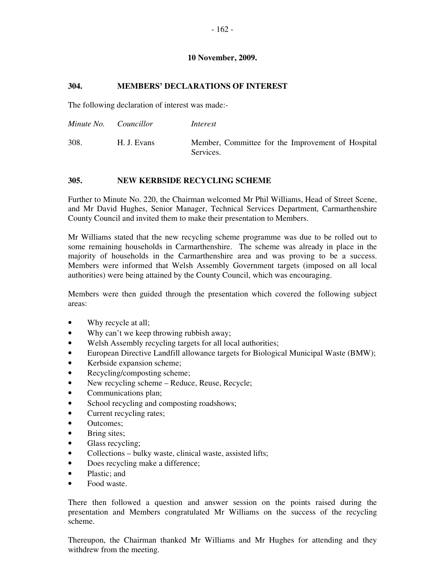## **304. MEMBERS' DECLARATIONS OF INTEREST**

The following declaration of interest was made:-

| Minute No. | <i>Councillor</i> | Interest                                                       |
|------------|-------------------|----------------------------------------------------------------|
| 308.       | H. J. Evans       | Member, Committee for the Improvement of Hospital<br>Services. |

## **305. NEW KERBSIDE RECYCLING SCHEME**

Further to Minute No. 220, the Chairman welcomed Mr Phil Williams, Head of Street Scene, and Mr David Hughes, Senior Manager, Technical Services Department, Carmarthenshire County Council and invited them to make their presentation to Members.

Mr Williams stated that the new recycling scheme programme was due to be rolled out to some remaining households in Carmarthenshire. The scheme was already in place in the majority of households in the Carmarthenshire area and was proving to be a success. Members were informed that Welsh Assembly Government targets (imposed on all local authorities) were being attained by the County Council, which was encouraging.

Members were then guided through the presentation which covered the following subject areas:

- Why recycle at all;
- Why can't we keep throwing rubbish away;
- Welsh Assembly recycling targets for all local authorities;
- European Directive Landfill allowance targets for Biological Municipal Waste (BMW);
- Kerbside expansion scheme;
- Recycling/composting scheme;
- New recycling scheme Reduce, Reuse, Recycle;
- Communications plan;
- School recycling and composting roadshows;
- Current recycling rates;
- Outcomes;
- Bring sites;
- Glass recycling;
- Collections bulky waste, clinical waste, assisted lifts;
- Does recycling make a difference;
- Plastic: and
- Food waste.

There then followed a question and answer session on the points raised during the presentation and Members congratulated Mr Williams on the success of the recycling scheme.

Thereupon, the Chairman thanked Mr Williams and Mr Hughes for attending and they withdrew from the meeting.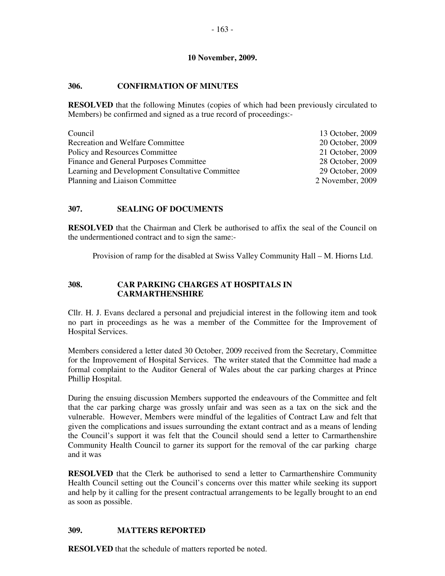## **306. CONFIRMATION OF MINUTES**

**RESOLVED** that the following Minutes (copies of which had been previously circulated to Members) be confirmed and signed as a true record of proceedings:-

| Council                                         | 13 October, 2009 |
|-------------------------------------------------|------------------|
| <b>Recreation and Welfare Committee</b>         | 20 October, 2009 |
| Policy and Resources Committee                  | 21 October, 2009 |
| Finance and General Purposes Committee          | 28 October, 2009 |
| Learning and Development Consultative Committee | 29 October, 2009 |
| Planning and Liaison Committee                  | 2 November, 2009 |

## **307. SEALING OF DOCUMENTS**

**RESOLVED** that the Chairman and Clerk be authorised to affix the seal of the Council on the undermentioned contract and to sign the same:-

Provision of ramp for the disabled at Swiss Valley Community Hall – M. Hiorns Ltd.

## **308. CAR PARKING CHARGES AT HOSPITALS IN CARMARTHENSHIRE**

Cllr. H. J. Evans declared a personal and prejudicial interest in the following item and took no part in proceedings as he was a member of the Committee for the Improvement of Hospital Services.

Members considered a letter dated 30 October, 2009 received from the Secretary, Committee for the Improvement of Hospital Services. The writer stated that the Committee had made a formal complaint to the Auditor General of Wales about the car parking charges at Prince Phillip Hospital.

During the ensuing discussion Members supported the endeavours of the Committee and felt that the car parking charge was grossly unfair and was seen as a tax on the sick and the vulnerable. However, Members were mindful of the legalities of Contract Law and felt that given the complications and issues surrounding the extant contract and as a means of lending the Council's support it was felt that the Council should send a letter to Carmarthenshire Community Health Council to garner its support for the removal of the car parking charge and it was

**RESOLVED** that the Clerk be authorised to send a letter to Carmarthenshire Community Health Council setting out the Council's concerns over this matter while seeking its support and help by it calling for the present contractual arrangements to be legally brought to an end as soon as possible.

## **309. MATTERS REPORTED**

**RESOLVED** that the schedule of matters reported be noted.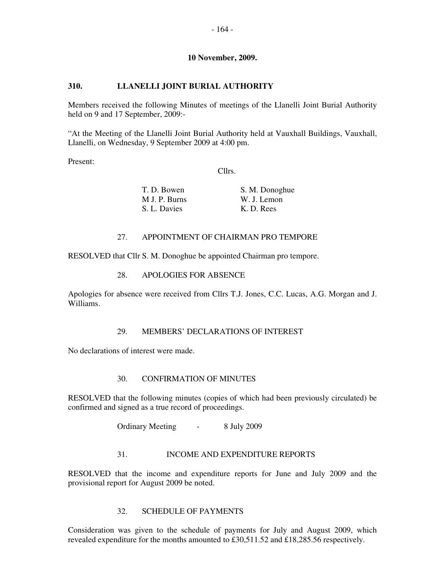## **310. LLANELLI JOINT BURIAL AUTHORITY**

Members received the following Minutes of meetings of the Llanelli Joint Burial Authority held on 9 and 17 September, 2009:-

"At the Meeting of the Llanelli Joint Burial Authority held at Vauxhall Buildings, Vauxhall, Llanelli, on Wednesday, 9 September 2009 at 4:00 pm.

Present:

Cllrs.

| T. D. Bowen   | S. M. Donoghue |
|---------------|----------------|
| M J. P. Burns | W. J. Lemon    |
| S. L. Davies  | K. D. Rees     |

## 27. APPOINTMENT OF CHAIRMAN PRO TEMPORE

RESOLVED that Cllr S. M. Donoghue be appointed Chairman pro tempore.

### 28. APOLOGIES FOR ABSENCE

Apologies for absence were received from Cllrs T.J. Jones, C.C. Lucas, A.G. Morgan and J. Williams.

### 29. MEMBERS' DECLARATIONS OF INTEREST

No declarations of interest were made.

### 30. CONFIRMATION OF MINUTES

RESOLVED that the following minutes (copies of which had been previously circulated) be confirmed and signed as a true record of proceedings.

Ordinary Meeting - 8 July 2009

### 31. INCOME AND EXPENDITURE REPORTS

RESOLVED that the income and expenditure reports for June and July 2009 and the provisional report for August 2009 be noted.

### 32. SCHEDULE OF PAYMENTS

Consideration was given to the schedule of payments for July and August 2009, which revealed expenditure for the months amounted to £30,511.52 and £18,285.56 respectively.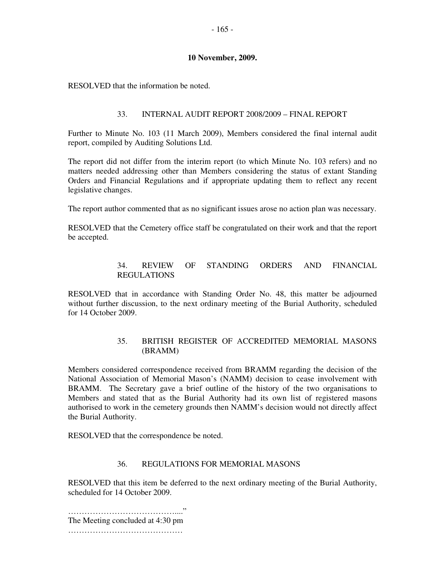RESOLVED that the information be noted.

### 33. INTERNAL AUDIT REPORT 2008/2009 – FINAL REPORT

Further to Minute No. 103 (11 March 2009), Members considered the final internal audit report, compiled by Auditing Solutions Ltd.

The report did not differ from the interim report (to which Minute No. 103 refers) and no matters needed addressing other than Members considering the status of extant Standing Orders and Financial Regulations and if appropriate updating them to reflect any recent legislative changes.

The report author commented that as no significant issues arose no action plan was necessary.

RESOLVED that the Cemetery office staff be congratulated on their work and that the report be accepted.

## 34. REVIEW OF STANDING ORDERS AND FINANCIAL REGULATIONS

RESOLVED that in accordance with Standing Order No. 48, this matter be adjourned without further discussion, to the next ordinary meeting of the Burial Authority, scheduled for 14 October 2009.

## 35. BRITISH REGISTER OF ACCREDITED MEMORIAL MASONS (BRAMM)

Members considered correspondence received from BRAMM regarding the decision of the National Association of Memorial Mason's (NAMM) decision to cease involvement with BRAMM. The Secretary gave a brief outline of the history of the two organisations to Members and stated that as the Burial Authority had its own list of registered masons authorised to work in the cemetery grounds then NAMM's decision would not directly affect the Burial Authority.

RESOLVED that the correspondence be noted.

### 36. REGULATIONS FOR MEMORIAL MASONS

RESOLVED that this item be deferred to the next ordinary meeting of the Burial Authority, scheduled for 14 October 2009.

…………………………………...." The Meeting concluded at 4:30 pm ……………………………………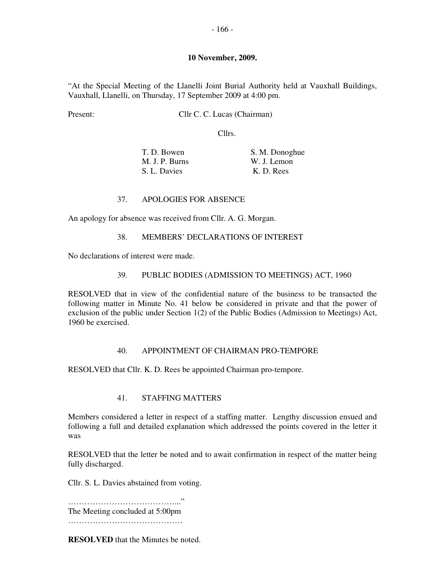"At the Special Meeting of the Llanelli Joint Burial Authority held at Vauxhall Buildings, Vauxhall, Llanelli, on Thursday, 17 September 2009 at 4:00 pm.

Present: Cllr C. C. Lucas (Chairman)

Cllrs.

| T. D. Bowen    | S. M. Donoghue |
|----------------|----------------|
| M. J. P. Burns | W. J. Lemon    |
| S. L. Davies   | K. D. Rees     |

#### 37. APOLOGIES FOR ABSENCE

An apology for absence was received from Cllr. A. G. Morgan.

#### 38. MEMBERS' DECLARATIONS OF INTEREST

No declarations of interest were made.

#### 39. PUBLIC BODIES (ADMISSION TO MEETINGS) ACT, 1960

RESOLVED that in view of the confidential nature of the business to be transacted the following matter in Minute No. 41 below be considered in private and that the power of exclusion of the public under Section 1(2) of the Public Bodies (Admission to Meetings) Act, 1960 be exercised.

#### 40. APPOINTMENT OF CHAIRMAN PRO-TEMPORE

RESOLVED that Cllr. K. D. Rees be appointed Chairman pro-tempore.

#### 41. STAFFING MATTERS

Members considered a letter in respect of a staffing matter. Lengthy discussion ensued and following a full and detailed explanation which addressed the points covered in the letter it was

RESOLVED that the letter be noted and to await confirmation in respect of the matter being fully discharged.

Cllr. S. L. Davies abstained from voting.

…………………………………..." The Meeting concluded at 5:00pm ……………………………………

**RESOLVED** that the Minutes be noted.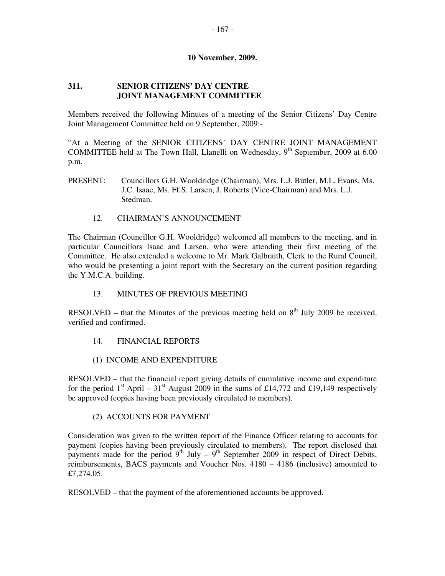## **311. SENIOR CITIZENS' DAY CENTRE JOINT MANAGEMENT COMMITTEE**

Members received the following Minutes of a meeting of the Senior Citizens' Day Centre Joint Management Committee held on 9 September, 2009:-

"At a Meeting of the SENIOR CITIZENS' DAY CENTRE JOINT MANAGEMENT COMMITTEE held at The Town Hall, Llanelli on Wednesday,  $9<sup>th</sup>$  September, 2009 at 6.00 p.m.

- PRESENT: Councillors G.H. Wooldridge (Chairman), Mrs. L.J. Butler, M.L. Evans, Ms. J.C. Isaac, Ms. Ff.S. Larsen, J. Roberts (Vice-Chairman) and Mrs. L.J. Stedman.
	- 12. CHAIRMAN'S ANNOUNCEMENT

The Chairman (Councillor G.H. Wooldridge) welcomed all members to the meeting, and in particular Councillors Isaac and Larsen, who were attending their first meeting of the Committee. He also extended a welcome to Mr. Mark Galbraith, Clerk to the Rural Council, who would be presenting a joint report with the Secretary on the current position regarding the Y.M.C.A. building.

## 13. MINUTES OF PREVIOUS MEETING

RESOLVED – that the Minutes of the previous meeting held on  $8<sup>th</sup>$  July 2009 be received, verified and confirmed.

- 14. FINANCIAL REPORTS
- (1) INCOME AND EXPENDITURE

RESOLVED – that the financial report giving details of cumulative income and expenditure for the period 1<sup>st</sup> April – 31<sup>st</sup> August 2009 in the sums of £14,772 and £19,149 respectively be approved (copies having been previously circulated to members).

### (2) ACCOUNTS FOR PAYMENT

Consideration was given to the written report of the Finance Officer relating to accounts for payment (copies having been previously circulated to members). The report disclosed that payments made for the period  $9<sup>th</sup>$  July –  $9<sup>th</sup>$  September 2009 in respect of Direct Debits, reimbursements, BACS payments and Voucher Nos. 4180 – 4186 (inclusive) amounted to £7,274.05.

RESOLVED – that the payment of the aforementioned accounts be approved.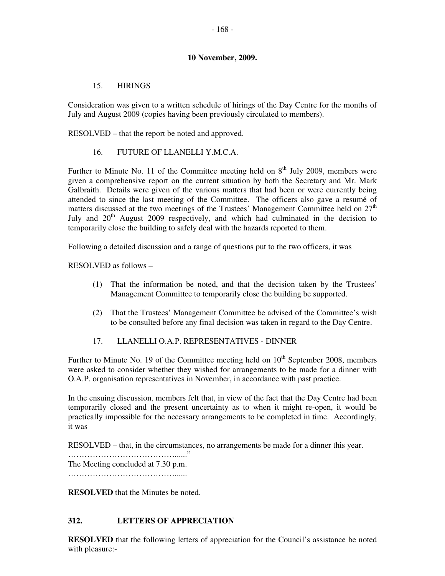## 15. HIRINGS

Consideration was given to a written schedule of hirings of the Day Centre for the months of July and August 2009 (copies having been previously circulated to members).

RESOLVED – that the report be noted and approved.

## 16. FUTURE OF LLANELLI Y.M.C.A.

Further to Minute No. 11 of the Committee meeting held on  $8<sup>th</sup>$  July 2009, members were given a comprehensive report on the current situation by both the Secretary and Mr. Mark Galbraith. Details were given of the various matters that had been or were currently being attended to since the last meeting of the Committee. The officers also gave a resumé of matters discussed at the two meetings of the Trustees' Management Committee held on  $27<sup>th</sup>$ July and  $20<sup>th</sup>$  August 2009 respectively, and which had culminated in the decision to temporarily close the building to safely deal with the hazards reported to them.

Following a detailed discussion and a range of questions put to the two officers, it was

RESOLVED as follows –

- (1) That the information be noted, and that the decision taken by the Trustees' Management Committee to temporarily close the building be supported.
- (2) That the Trustees' Management Committee be advised of the Committee's wish to be consulted before any final decision was taken in regard to the Day Centre.
- 17. LLANELLI O.A.P. REPRESENTATIVES DINNER

Further to Minute No. 19 of the Committee meeting held on  $10<sup>th</sup>$  September 2008, members were asked to consider whether they wished for arrangements to be made for a dinner with O.A.P. organisation representatives in November, in accordance with past practice.

In the ensuing discussion, members felt that, in view of the fact that the Day Centre had been temporarily closed and the present uncertainty as to when it might re-open, it would be practically impossible for the necessary arrangements to be completed in time. Accordingly, it was

RESOLVED – that, in the circumstances, no arrangements be made for a dinner this year.

…………………………………......" The Meeting concluded at 7.30 p.m. …………………………………......

**RESOLVED** that the Minutes be noted.

# **312. LETTERS OF APPRECIATION**

**RESOLVED** that the following letters of appreciation for the Council's assistance be noted with pleasure:-